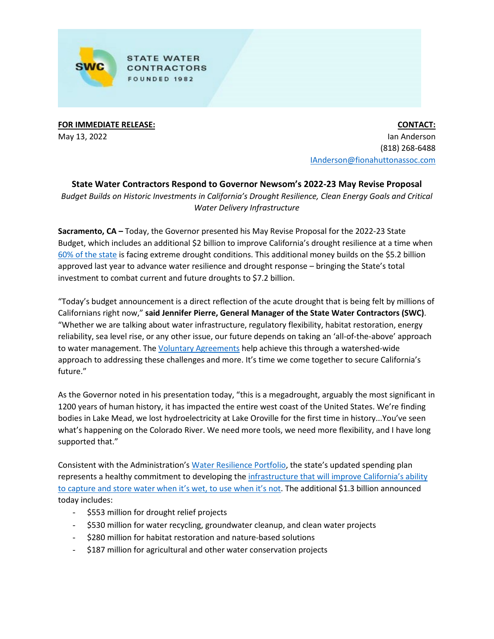

**STATE WATER CONTRACTORS** FOUNDED 1982

**FOR IMMEDIATE RELEASE:** May 13, 2022

**CONTACT:** Ian Anderson (818) 268-6488 [IAnderson@fionahuttonassoc.com](mailto:IAnderson@fionahuttonassoc.com)

**State Water Contractors Respond to Governor Newsom's 2022-23 May Revise Proposal** *Budget Builds on Historic Investments in California's Drought Resilience, Clean Energy Goals and Critical Water Delivery Infrastructure*

**Sacramento, CA –** Today, the Governor presented his May Revise Proposal for the 2022-23 State Budget, which includes an additional \$2 billion to improve California's drought resilience at a time when [60% of the state](https://www.drought.gov/states/california) is facing extreme drought conditions. This additional money builds on the \$5.2 billion approved last year to advance water resilience and drought response – bringing the State's total investment to combat current and future droughts to \$7.2 billion.

"Today's budget announcement is a direct reflection of the acute drought that is being felt by millions of Californians right now," **said Jennifer Pierre, General Manager of the State Water Contractors (SWC)**. "Whether we are talking about water infrastructure, regulatory flexibility, habitat restoration, energy reliability, sea level rise, or any other issue, our future depends on taking an 'all-of-the-above' approach to water management. The [Voluntary Agreements](https://swc.org/wp-content/uploads/2022/03/FINAL_SWC-VAs-Fact-Sheet_3.29.22.pdf) help achieve this through a watershed-wide approach to addressing these challenges and more. It's time we come together to secure California's future."

As the Governor noted in his presentation today, "this is a megadrought, arguably the most significant in 1200 years of human history, it has impacted the entire west coast of the United States. We're finding bodies in Lake Mead, we lost hydroelectricity at Lake Oroville for the first time in history...You've seen what's happening on the Colorado River. We need more tools, we need more flexibility, and I have long supported that."

Consistent with the Administration'[s Water Resilience Portfolio,](https://resources.ca.gov/Initiatives/Building-Water-Resilience/portfolio) the state's updated spending plan represents a healthy commitment to developing the infrastructure that will improve California's ability [to capture and store water when it's wet, to use when it's not.](https://swc.org/wp-content/uploads/2022/01/Water-Infrastructure-Funding-Request-1-18-22.pdf) The additional \$1.3 billion announced today includes:

- \$553 million for drought relief projects
- \$530 million for water recycling, groundwater cleanup, and clean water projects
- \$280 million for habitat restoration and nature-based solutions
- \$187 million for agricultural and other water conservation projects